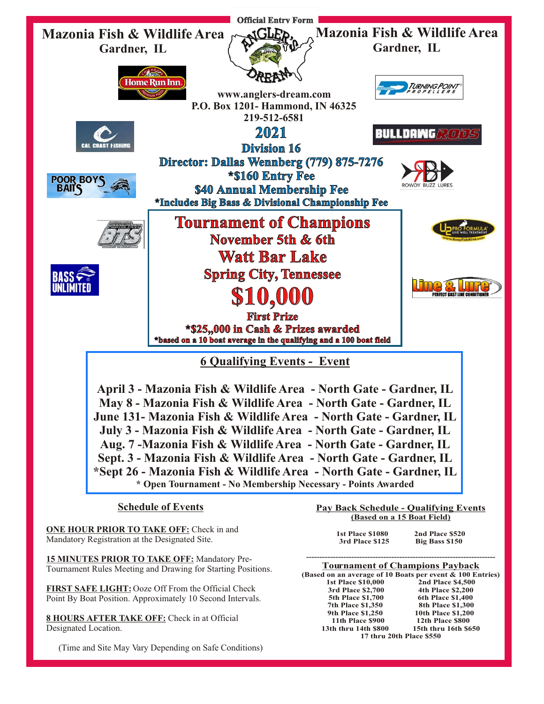

**ONE HOUR PRIOR TO TAKE OFF:** Check in and Mandatory Registration at the Designated Site.

**15 MINUTES PRIOR TO TAKE OFF:** Mandatory Pre-Tournament Rules Meeting and Drawing for Starting Positions.

**FIRST SAFE LIGHT:** Ooze Off From the Official Check Point By Boat Position. Approximately 10 Second Intervals.

**8 HOURS AFTER TAKE OFF:** Check in at Official Designated Location.

(Time and Site May Vary Depending on Safe Conditions)

**(Based on a 15 Boat Field)**

| <b>1st Place \$1080</b> | 2nd Place \$520 |
|-------------------------|-----------------|
| 3rd Place \$125         | Big Bass \$150  |

**----------------------------------------------------------------------- Tournament of Champions Payback (Based on an average of 10 Boats per event & 100 Entries) 1st Place \$10,000** 2nd Place \$4,500<br>3rd Place \$2,700 4th Place \$2,200 **3rd Place \$2,700 4th Place \$2,200 5th Place \$1,700 6th Place \$1,400 7th Place \$1,350** 8th Place \$1,300<br> **9th Place \$1,250** 10th Place \$1,200 **10th Place \$1,200<br>12th Place \$800 11th Place \$900 12th Place \$800 13th thru 14th \$800 15th thru 16th \$650 17 thru 20th Place \$550**